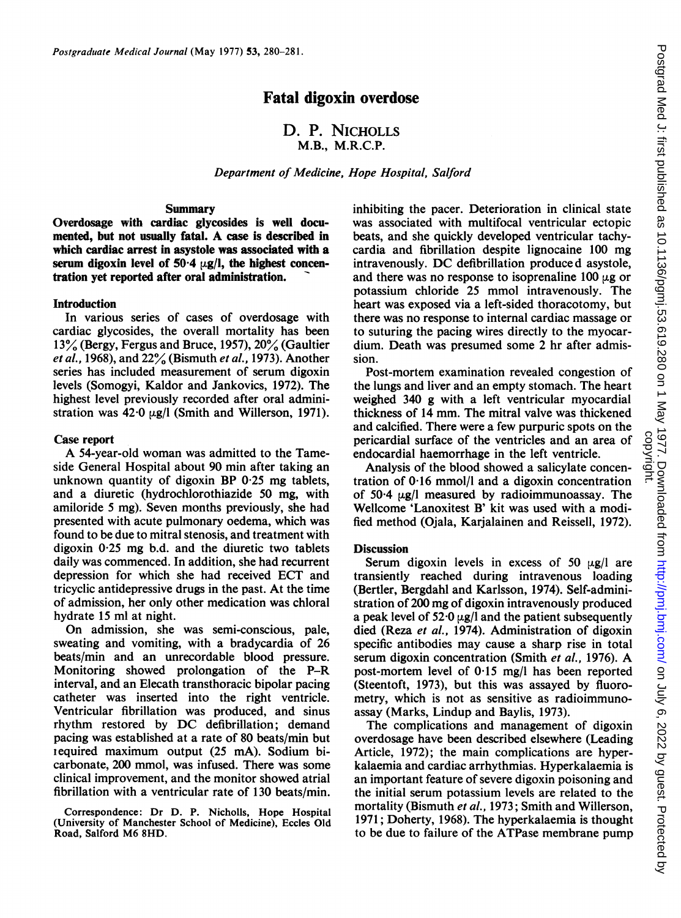# Fatal digoxin overdose

# D. P. NICHOLLS M.B., M.R.C.P.

Department of Medicine, Hope Hospital, Salford

#### Summary

Overdosage with cardiac glycosides is well documented, but not usually fatal. A case is described in which cardiac arrest in asystole was associated with a serum digoxin level of  $50.4 \text{ }\mu$ g/l, the highest concentration yet reported after oral administration.

## Introduction

In various series of cases of overdosage with cardiac glycosides, the overall mortality has been 13% (Bergy, Fergus and Bruce, 1957), 20% (Gaultier et al., 1968), and  $22\%$  (Bismuth et al., 1973). Another series has included measurement of serum digoxin levels (Somogyi, Kaldor and Jankovics, 1972). The highest level previously recorded after oral administration was  $42.0 \mu g/l$  (Smith and Willerson, 1971).

#### Case report

A 54-year-old woman was admitted to the Tameside General Hospital about 90 min after taking an unknown quantity of digoxin BP 0-25 mg tablets, and a diuretic (hydrochlorothiazide 50 mg, with amiloride <sup>5</sup> mg). Seven months previously, she had presented with acute pulmonary oedema, which was found to be due to mitral stenosis, and treatment with digoxin 0-25 mg b.d. and the diuretic two tablets daily was commenced. In addition, she had recurrent depression for which she had received ECT and tricyclic antidepressive drugs in the past. At the time of admission, her only other medication was chloral hydrate 15 ml at night.

On admission, she was semi-conscious, pale, sweating and vomiting, with a bradycardia of 26 beats/min and an unrecordable blood pressure. Monitoring showed prolongation of the P-R interval, and an Elecath transthoracic bipolar pacing catheter was inserted into the right ventricle. Ventricular fibrillation was produced, and sinus rhythm restored by DC defibrillation; demand pacing was established at a rate of 80 beats/min but iequired maximum output (25 mA). Sodium bicarbonate, 200 mmol, was infused. There was some clinical improvement, and the monitor showed atrial fibrillation with a ventricular rate of 130 beats/min.

Correspondence: Dr D. P. Nicholls, Hope Hospital (University of Manchester School of Medicine), Eccles Old Road, Salford M6 8HD.

inhibiting the pacer. Deterioration in clinical state was associated with multifocal ventricular ectopic beats, and she quickly developed ventricular tachycardia and fibrillation despite lignocaine 100 mg intravenously. DC defibrillation produced asystole, and there was no response to isoprenaline  $100 \mu$ g or potassium chloride <sup>25</sup> mmol intravenously. The heart was exposed via a left-sided thoracotomy, but there was no response to internal cardiac massage or to suturing the pacing wires directly to the myocardium. Death was presumed some 2 hr after admission.

Post-mortem examination revealed congestion of the lungs and liver and an empty stomach. The heart weighed 340 g with a left ventricular myocardial thickness of 14 mm. The mitral valve was thickened and calcified. There were a few purpuric spots on the pericardial surface of the ventricles and an area of endocardial haemorrhage in the left ventricle.

Analysis of the blood showed a salicylate concentration of 0-16 mmol/l and a digoxin concentration of  $50-4$   $\mu$ g/l measured by radioimmunoassay. The Wellcome 'Lanoxitest B' kit was used with a modified method (Ojala, Karjalainen and Reissell, 1972).

### **Discussion**

Serum digoxin levels in excess of  $50 \text{ µg/l}$  are transiently reached during intravenous loading (Bertler, Bergdahl and Karlsson, 1974). Self-administration of 200 mg of digoxin intravenously produced a peak level of  $52.0 \mu g/l$  and the patient subsequently died (Reza et al., 1974). Administration of digoxin specific antibodies may cause a sharp rise in total serum digoxin concentration (Smith et al., 1976). A post-mortem level of 0-15 mg/l has been reported (Steentoft, 1973), but this was assayed by fluorometry, which is not as sensitive as radioimmunoassay (Marks, Lindup and Baylis, 1973).

The complications and management of digoxin overdosage have been described elsewhere (Leading Article, 1972); the main complications are hyperkalaemia and cardiac arrhythmias. Hyperkalaemia is an important feature of severe digoxin poisoning and the initial serum potassium levels are related to the mortality (Bismuth et al., 1973; Smith and Willerson, 1971; Doherty, 1968). The hyperkalaemia is thought to be due to failure of the ATPase membrane pump